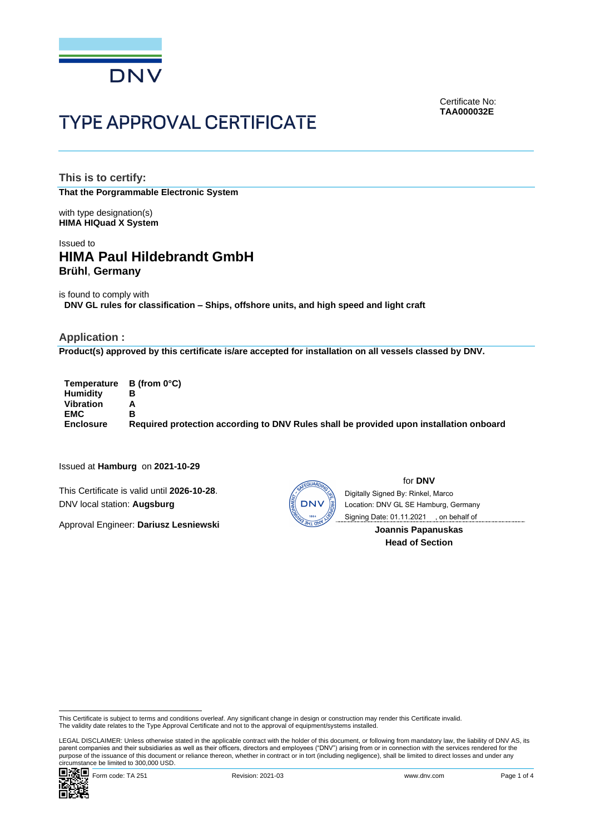

Certificate No: **TAA000032E**

# **TYPE APPROVAL CERTIFICATE**

**This is to certify: That the Porgrammable Electronic System**

with type designation(s) **HIMA HIQuad X System**

# Issued to **HIMA Paul Hildebrandt GmbH Brühl**, **Germany**

is found to comply with **DNV GL rules for classification – Ships, offshore units, and high speed and light craft**

# **Application :**

**Product(s) approved by this certificate is/are accepted for installation on all vessels classed by DNV.**

**Temperature B (from 0°C) Humidity B Vibration A EMC B Enclosure Required protection according to DNV Rules shall be provided upon installation onboard**

Issued at **Hamburg** on **2021-10-29**

This Certificate is valid until **2026-10-28**. DNV local station: **Augsburg**

Approval Engineer: **Dariusz Lesniewski**



for **DNV** , on behalf ofLocation: DNV GL SE Hamburg, Germany Digitally Signed By: Rinkel, Marco

> **Joannis Papanuskas Head of Section**

LEGAL DISCLAIMER: Unless otherwise stated in the applicable contract with the holder of this document, or following from mandatory law, the liability of DNV AS, its parent companies and their subsidiaries as well as their officers, directors and employees ("DNV") arising from or in connection with the services rendered for the purpose of the issuance of this document or reliance thereon, whether in contract or in tort (including negligence), shall be limited to direct losses and under any<br>circumstance be limited to 300,000 USD. Coming Date: 01.11.2021<br> **Coming Date: 01.11.2021**<br> **Coming Paper**<br> **Coming Paper**<br> **Coming Paper**<br> **Coming Paper**<br> **Coming Paper**<br> **Coming Paper**<br> **Coming Paper**<br> **Coming Papers of the issue of the Subset to terms and con** 



This Certificate is subject to terms and conditions overleaf. Any significant change in design or construction may render this Certificate invalid.<br>The validity date relates to the Type Approval Certificate and not to the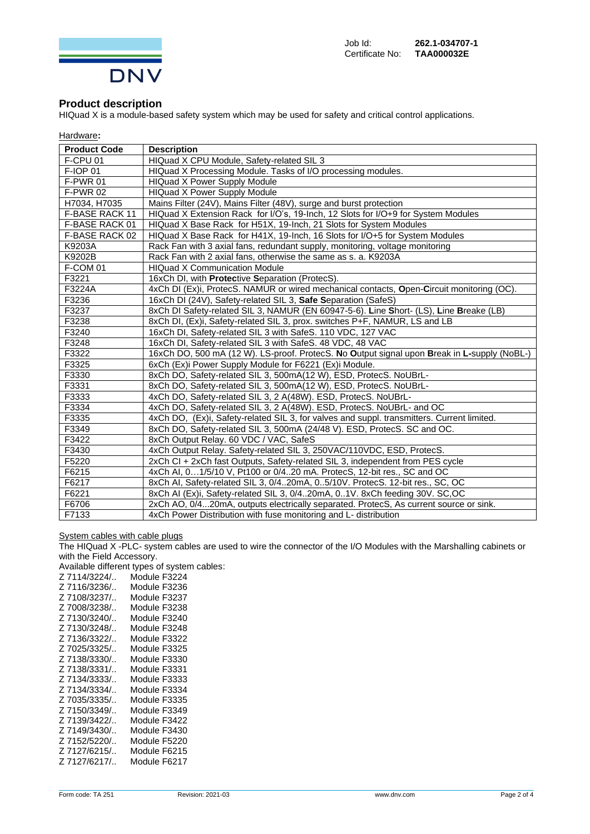

# **Product description**

HIQuad X is a module-based safety system which may be used for safety and critical control applications.

| Hardware: |
|-----------|
|-----------|

| <b>Product Code</b> | <b>Description</b>                                                                          |
|---------------------|---------------------------------------------------------------------------------------------|
| F-CPU <sub>01</sub> | HIQuad X CPU Module, Safety-related SIL 3                                                   |
| F-IOP 01            | HIQuad X Processing Module. Tasks of I/O processing modules.                                |
| F-PWR 01            | <b>HIQuad X Power Supply Module</b>                                                         |
| <b>F-PWR 02</b>     | <b>HIQuad X Power Supply Module</b>                                                         |
| H7034, H7035        | Mains Filter (24V), Mains Filter (48V), surge and burst protection                          |
| F-BASE RACK 11      | HIQuad X Extension Rack for I/O's, 19-Inch, 12 Slots for I/O+9 for System Modules           |
| F-BASE RACK 01      | HIQuad X Base Rack for H51X, 19-Inch, 21 Slots for System Modules                           |
| F-BASE RACK 02      | HIQuad X Base Rack for H41X, 19-Inch, 16 Slots for I/O+5 for System Modules                 |
| K9203A              | Rack Fan with 3 axial fans, redundant supply, monitoring, voltage monitoring                |
| K9202B              | Rack Fan with 2 axial fans, otherwise the same as s. a. K9203A                              |
| F-COM 01            | <b>HIQuad X Communication Module</b>                                                        |
| F3221               | 16xCh DI, with Protective Separation (ProtecS).                                             |
| F3224A              | 4xCh DI (Ex)i, ProtecS. NAMUR or wired mechanical contacts, Open-Circuit monitoring (OC).   |
| F3236               | 16xCh DI (24V), Safety-related SIL 3, Safe Separation (SafeS)                               |
| F3237               | 8xCh DI Safety-related SIL 3, NAMUR (EN 60947-5-6). Line Short- (LS), Line Breake (LB)      |
| F3238               | 8xCh DI, (Ex)i, Safety-related SIL 3, prox. switches P+F, NAMUR, LS and LB                  |
| F3240               | 16xCh DI, Safety-related SIL 3 with SafeS. 110 VDC, 127 VAC                                 |
| F3248               | 16xCh DI, Safety-related SIL 3 with SafeS. 48 VDC, 48 VAC                                   |
| F3322               | 16xCh DO, 500 mA (12 W). LS-proof. ProtecS. No Output signal upon Break in L-supply (NoBL-) |
| F3325               | 6xCh (Ex)i Power Supply Module for F6221 (Ex)i Module.                                      |
| F3330               | 8xCh DO, Safety-related SIL 3, 500mA(12 W), ESD, ProtecS. NoUBrL-                           |
| F3331               | 8xCh DO, Safety-related SIL 3, 500mA(12 W), ESD, ProtecS. NoUBrL-                           |
| F3333               | 4xCh DO, Safety-related SIL 3, 2 A(48W). ESD, ProtecS. NoUBrL-                              |
| F3334               | 4xCh DO, Safety-related SIL 3, 2 A(48W). ESD, ProtecS. NoUBrL- and OC                       |
| F3335               | 4xCh DO, (Ex)i, Safety-related SIL 3, for valves and suppl. transmitters. Current limited.  |
| F3349               | 8xCh DO, Safety-related SIL 3, 500mA (24/48 V). ESD, ProtecS. SC and OC.                    |
| F3422               | 8xCh Output Relay. 60 VDC / VAC, SafeS                                                      |
| F3430               | 4xCh Output Relay. Safety-related SIL 3, 250VAC/110VDC, ESD, ProtecS.                       |
| F5220               | 2xCh CI + 2xCh fast Outputs, Safety-related SIL 3, independent from PES cycle               |
| F6215               | 4xCh AI, 01/5/10 V, Pt100 or 0/420 mA. ProtecS, 12-bit res., SC and OC                      |
| F6217               | 8xCh AI, Safety-related SIL 3, 0/420mA, 05/10V. ProtecS. 12-bit res., SC, OC                |
| F6221               | 8xCh AI (Ex)i, Safety-related SIL 3, 0/420mA, 01V. 8xCh feeding 30V. SC, OC                 |
| F6706               | 2xCh AO, 0/420mA, outputs electrically separated. ProtecS, As current source or sink.       |
| F7133               | 4xCh Power Distribution with fuse monitoring and L- distribution                            |

#### System cables with cable plugs

The HIQuad X -PLC- system cables are used to wire the connector of the I/O Modules with the Marshalling cabinets or with the Field Accessory.

Available different types of system cables:

| wanaviv amvivin | iy poo of oyotom |
|-----------------|------------------|
| Z 7114/3224/    | Module F3224     |
| Z 7116/3236/    | Module F3236     |
| Z 7108/3237/    | Module F3237     |
| Z 7008/3238/    | Module F3238     |
| Z 7130/3240/    | Module F3240     |
| Z 7130/3248/    | Module F3248     |
| Z 7136/3322/    | Module F3322     |
| Z 7025/3325/    | Module F3325     |
| Z 7138/3330/    | Module F3330     |
| Z 7138/3331/    | Module F3331     |
| Z 7134/3333/    | Module F3333     |
| Z 7134/3334/    | Module F3334     |
| Z 7035/3335/    | Module F3335     |
| Z 7150/3349/    | Module F3349     |
| Z 7139/3422/    | Module F3422     |
| Z 7149/3430/    | Module F3430     |
| Z 7152/5220/    | Module F5220     |
| Z 7127/6215/    | Module F6215     |
| Z 7127/6217/    | Module F6217     |
|                 |                  |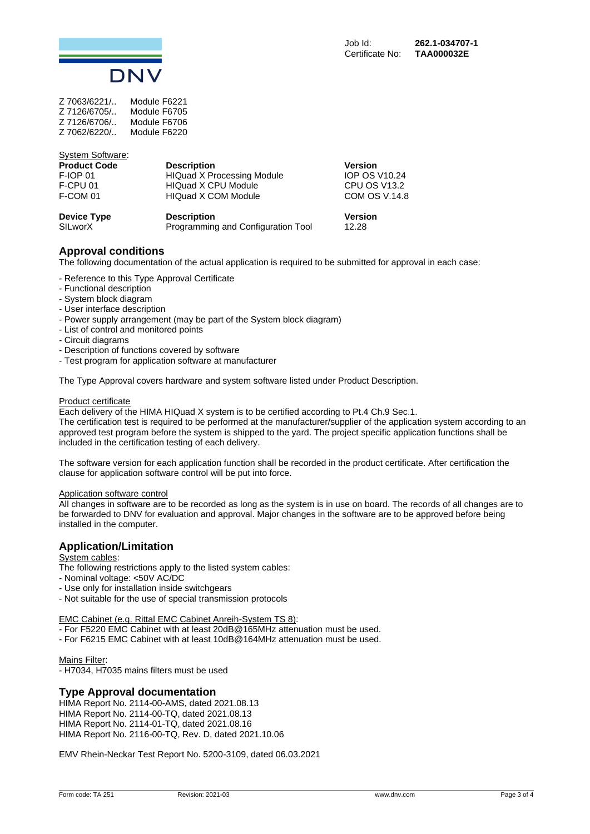

| 7 7063/6221/ | Module F6221 |
|--------------|--------------|
| Z 7126/6705/ | Module F6705 |
| Z 7126/6706/ | Module F6706 |
| Z 7062/6220/ | Module F6220 |

| <b>System Software:</b> |                                    |                      |
|-------------------------|------------------------------------|----------------------|
| <b>Product Code</b>     | <b>Description</b>                 | <b>Version</b>       |
| <b>F-IOP 01</b>         | <b>HIQuad X Processing Module</b>  | <b>IOP OS V10.24</b> |
| F-CPU 01                | <b>HIQuad X CPU Module</b>         | CPU OS V13.2         |
| F-COM 01                | <b>HIQuad X COM Module</b>         | COM OS V.14.8        |
| Device Type             | <b>Description</b>                 | <b>Version</b>       |
| SILworX                 | Programming and Configuration Tool | 12.28                |

# **Approval conditions**

The following documentation of the actual application is required to be submitted for approval in each case:

- Reference to this Type Approval Certificate
- Functional description
- System block diagram
- User interface description
- Power supply arrangement (may be part of the System block diagram)
- List of control and monitored points
- Circuit diagrams
- Description of functions covered by software
- Test program for application software at manufacturer

The Type Approval covers hardware and system software listed under Product Description.

#### Product certificate

Each delivery of the HIMA HIQuad X system is to be certified according to Pt.4 Ch.9 Sec.1.

The certification test is required to be performed at the manufacturer/supplier of the application system according to an approved test program before the system is shipped to the yard. The project specific application functions shall be included in the certification testing of each delivery.

The software version for each application function shall be recorded in the product certificate. After certification the clause for application software control will be put into force.

#### Application software control

All changes in software are to be recorded as long as the system is in use on board. The records of all changes are to be forwarded to DNV for evaluation and approval. Major changes in the software are to be approved before being installed in the computer.

# **Application/Limitation**

System cables:

The following restrictions apply to the listed system cables:

- Nominal voltage: <50V AC/DC
- Use only for installation inside switchgears
- Not suitable for the use of special transmission protocols

EMC Cabinet (e.g. Rittal EMC Cabinet Anreih-System TS 8):

- For F5220 EMC Cabinet with at least 20dB@165MHz attenuation must be used.
- For F6215 EMC Cabinet with at least 10dB@164MHz attenuation must be used.

## Mains Filter:

- H7034, H7035 mains filters must be used

## **Type Approval documentation**

HIMA Report No. 2114-00-AMS, dated 2021.08.13 HIMA Report No. 2114-00-TQ, dated 2021.08.13 HIMA Report No. 2114-01-TQ, dated 2021.08.16 HIMA Report No. 2116-00-TQ, Rev. D, dated 2021.10.06

EMV Rhein-Neckar Test Report No. 5200-3109, dated 06.03.2021